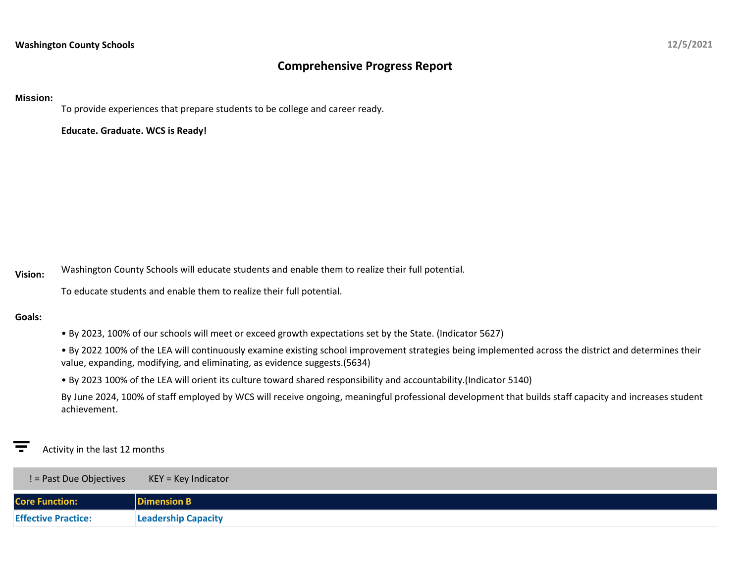# **Comprehensive Progress Report**

### **Mission:**

To provide experiences that prepare students to be college and career ready.

**Educate. Graduate. WCS is Ready!**

**Vision:** Washington County Schools will educate students and enable them to realize their full potential.

To educate students and enable them to realize their full potential.

### **Goals:**

• By 2023, 100% of our schools will meet or exceed growth expectations set by the State. (Indicator 5627)

• By 2022 100% of the LEA will continuously examine existing school improvement strategies being implemented across the district and determines their value, expanding, modifying, and eliminating, as evidence suggests.(5634)

• By 2023 100% of the LEA will orient its culture toward shared responsibility and accountability.(Indicator 5140)

By June 2024, 100% of staff employed by WCS will receive ongoing, meaningful professional development that builds staff capacity and increases student achievement.

## Activity in the last 12 months

| ! = Past Due Objectives    | $KEY = Key Indicator$      |
|----------------------------|----------------------------|
| <b>Core Function:</b>      | <b>Dimension B</b>         |
| <b>Effective Practice:</b> | <b>Leadership Capacity</b> |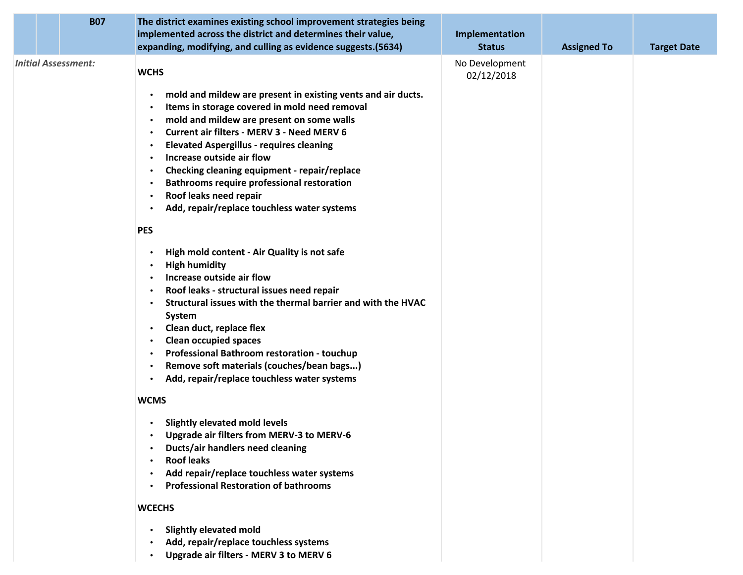|  | <b>B07</b>                 | The district examines existing school improvement strategies being<br>implemented across the district and determines their value,<br>expanding, modifying, and culling as evidence suggests.(5634)                                                                                                                                                                                                                                                                                                                                                                                                                                                                                                       | Implementation<br><b>Status</b> | <b>Assigned To</b> | <b>Target Date</b> |
|--|----------------------------|----------------------------------------------------------------------------------------------------------------------------------------------------------------------------------------------------------------------------------------------------------------------------------------------------------------------------------------------------------------------------------------------------------------------------------------------------------------------------------------------------------------------------------------------------------------------------------------------------------------------------------------------------------------------------------------------------------|---------------------------------|--------------------|--------------------|
|  | <b>Initial Assessment:</b> | <b>WCHS</b><br>mold and mildew are present in existing vents and air ducts.<br>$\bullet$<br>Items in storage covered in mold need removal<br>$\bullet$<br>mold and mildew are present on some walls<br>$\bullet$<br><b>Current air filters - MERV 3 - Need MERV 6</b><br>$\bullet$<br><b>Elevated Aspergillus - requires cleaning</b><br>$\bullet$<br>Increase outside air flow<br>$\bullet$<br>Checking cleaning equipment - repair/replace<br>$\bullet$<br><b>Bathrooms require professional restoration</b><br>$\bullet$<br>Roof leaks need repair<br>$\bullet$<br>Add, repair/replace touchless water systems<br>$\bullet$<br><b>PES</b><br>High mold content - Air Quality is not safe<br>$\bullet$ | No Development<br>02/12/2018    |                    |                    |
|  |                            | <b>High humidity</b><br>Increase outside air flow<br>$\bullet$<br>Roof leaks - structural issues need repair<br>$\bullet$<br>Structural issues with the thermal barrier and with the HVAC<br>$\bullet$<br>System<br>Clean duct, replace flex<br>$\bullet$<br><b>Clean occupied spaces</b><br>$\bullet$<br>Professional Bathroom restoration - touchup<br>$\bullet$<br>Remove soft materials (couches/bean bags)<br>$\bullet$<br>Add, repair/replace touchless water systems                                                                                                                                                                                                                              |                                 |                    |                    |
|  |                            | <b>WCMS</b><br><b>Slightly elevated mold levels</b><br>$\bullet$<br><b>Upgrade air filters from MERV-3 to MERV-6</b><br><b>Ducts/air handlers need cleaning</b><br><b>Roof leaks</b><br>$\bullet$<br>Add repair/replace touchless water systems<br><b>Professional Restoration of bathrooms</b><br>$\bullet$<br><b>WCECHS</b><br><b>Slightly elevated mold</b><br>Add, repair/replace touchless systems<br>$\bullet$<br>Upgrade air filters - MERV 3 to MERV 6<br>$\bullet$                                                                                                                                                                                                                              |                                 |                    |                    |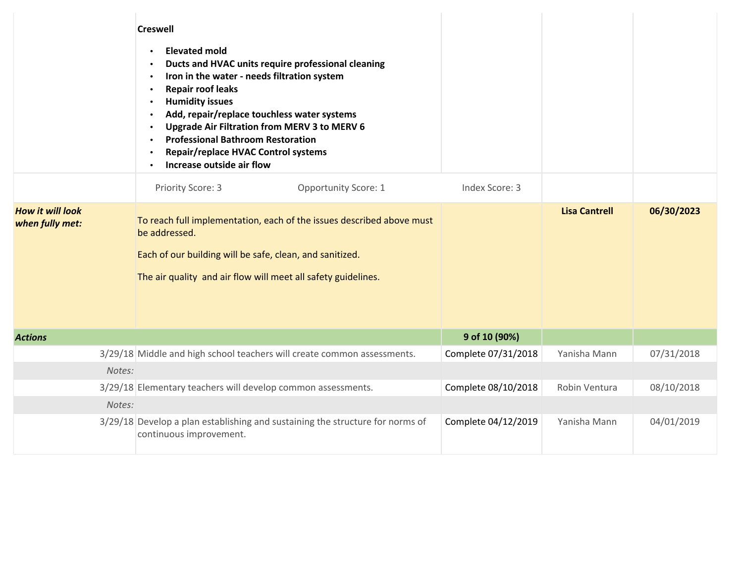|                                            | <b>Creswell</b><br><b>Elevated mold</b><br>$\bullet$<br>Ducts and HVAC units require professional cleaning<br>Iron in the water - needs filtration system<br><b>Repair roof leaks</b><br>$\bullet$<br><b>Humidity issues</b><br>$\bullet$<br>Add, repair/replace touchless water systems<br>$\bullet$<br>Upgrade Air Filtration from MERV 3 to MERV 6<br><b>Professional Bathroom Restoration</b><br>Repair/replace HVAC Control systems<br>$\bullet$<br>Increase outside air flow |                             |                     |                      |            |
|--------------------------------------------|------------------------------------------------------------------------------------------------------------------------------------------------------------------------------------------------------------------------------------------------------------------------------------------------------------------------------------------------------------------------------------------------------------------------------------------------------------------------------------|-----------------------------|---------------------|----------------------|------------|
|                                            | Priority Score: 3                                                                                                                                                                                                                                                                                                                                                                                                                                                                  | <b>Opportunity Score: 1</b> | Index Score: 3      |                      |            |
| <b>How it will look</b><br>when fully met: | To reach full implementation, each of the issues described above must<br>be addressed.<br>Each of our building will be safe, clean, and sanitized.<br>The air quality and air flow will meet all safety guidelines.                                                                                                                                                                                                                                                                |                             |                     | <b>Lisa Cantrell</b> | 06/30/2023 |
| <b>Actions</b>                             |                                                                                                                                                                                                                                                                                                                                                                                                                                                                                    |                             | 9 of 10 (90%)       |                      |            |
|                                            | 3/29/18 Middle and high school teachers will create common assessments.                                                                                                                                                                                                                                                                                                                                                                                                            |                             | Complete 07/31/2018 | Yanisha Mann         | 07/31/2018 |
| Notes:                                     |                                                                                                                                                                                                                                                                                                                                                                                                                                                                                    |                             |                     |                      |            |
|                                            | 3/29/18 Elementary teachers will develop common assessments.                                                                                                                                                                                                                                                                                                                                                                                                                       |                             | Complete 08/10/2018 | Robin Ventura        | 08/10/2018 |
| Notes:                                     |                                                                                                                                                                                                                                                                                                                                                                                                                                                                                    |                             |                     |                      |            |
|                                            | 3/29/18 Develop a plan establishing and sustaining the structure for norms of<br>continuous improvement.                                                                                                                                                                                                                                                                                                                                                                           |                             | Complete 04/12/2019 | Yanisha Mann         | 04/01/2019 |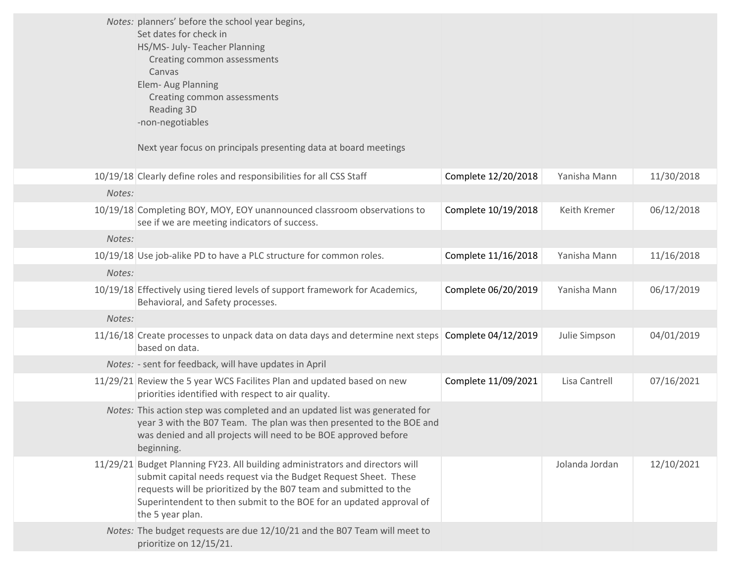|        | Notes: planners' before the school year begins,<br>Set dates for check in<br>HS/MS- July- Teacher Planning<br>Creating common assessments<br>Canvas<br>Elem- Aug Planning<br>Creating common assessments<br>Reading 3D<br>-non-negotiables<br>Next year focus on principals presenting data at board meetings     |                     |                |            |
|--------|-------------------------------------------------------------------------------------------------------------------------------------------------------------------------------------------------------------------------------------------------------------------------------------------------------------------|---------------------|----------------|------------|
|        | 10/19/18 Clearly define roles and responsibilities for all CSS Staff                                                                                                                                                                                                                                              | Complete 12/20/2018 | Yanisha Mann   | 11/30/2018 |
| Notes: |                                                                                                                                                                                                                                                                                                                   |                     |                |            |
|        | 10/19/18 Completing BOY, MOY, EOY unannounced classroom observations to<br>see if we are meeting indicators of success.                                                                                                                                                                                           | Complete 10/19/2018 | Keith Kremer   | 06/12/2018 |
| Notes: |                                                                                                                                                                                                                                                                                                                   |                     |                |            |
|        | 10/19/18 Use job-alike PD to have a PLC structure for common roles.                                                                                                                                                                                                                                               | Complete 11/16/2018 | Yanisha Mann   | 11/16/2018 |
| Notes: |                                                                                                                                                                                                                                                                                                                   |                     |                |            |
|        | 10/19/18 Effectively using tiered levels of support framework for Academics,<br>Behavioral, and Safety processes.                                                                                                                                                                                                 | Complete 06/20/2019 | Yanisha Mann   | 06/17/2019 |
| Notes: |                                                                                                                                                                                                                                                                                                                   |                     |                |            |
|        | 11/16/18 Create processes to unpack data on data days and determine next steps Complete 04/12/2019<br>based on data.                                                                                                                                                                                              |                     | Julie Simpson  | 04/01/2019 |
|        | Notes: - sent for feedback, will have updates in April                                                                                                                                                                                                                                                            |                     |                |            |
|        | 11/29/21 Review the 5 year WCS Facilites Plan and updated based on new<br>priorities identified with respect to air quality.                                                                                                                                                                                      | Complete 11/09/2021 | Lisa Cantrell  | 07/16/2021 |
|        | Notes: This action step was completed and an updated list was generated for<br>year 3 with the B07 Team. The plan was then presented to the BOE and<br>was denied and all projects will need to be BOE approved before<br>beginning.                                                                              |                     |                |            |
|        | 11/29/21 Budget Planning FY23. All building administrators and directors will<br>submit capital needs request via the Budget Request Sheet. These<br>requests will be prioritized by the B07 team and submitted to the<br>Superintendent to then submit to the BOE for an updated approval of<br>the 5 year plan. |                     | Jolanda Jordan | 12/10/2021 |
|        | Notes: The budget requests are due 12/10/21 and the B07 Team will meet to<br>prioritize on 12/15/21.                                                                                                                                                                                                              |                     |                |            |
|        |                                                                                                                                                                                                                                                                                                                   |                     |                |            |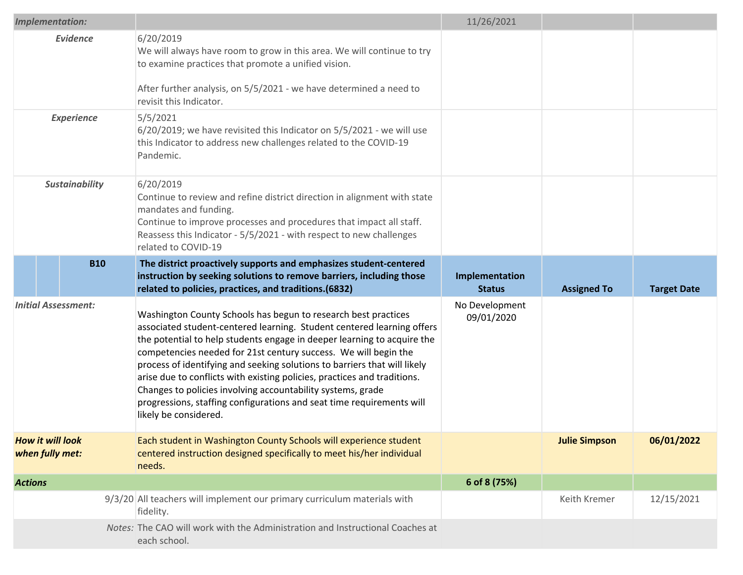|                       | <b>Implementation:</b>                     |                                                                                                                                                                                                                                                                                                                                                                                                                                                                                                                                                                                                                  | 11/26/2021                   |                      |                    |
|-----------------------|--------------------------------------------|------------------------------------------------------------------------------------------------------------------------------------------------------------------------------------------------------------------------------------------------------------------------------------------------------------------------------------------------------------------------------------------------------------------------------------------------------------------------------------------------------------------------------------------------------------------------------------------------------------------|------------------------------|----------------------|--------------------|
|                       | <b>Evidence</b>                            | 6/20/2019<br>We will always have room to grow in this area. We will continue to try<br>to examine practices that promote a unified vision.<br>After further analysis, on 5/5/2021 - we have determined a need to<br>revisit this Indicator.                                                                                                                                                                                                                                                                                                                                                                      |                              |                      |                    |
| <b>Experience</b>     |                                            | 5/5/2021<br>6/20/2019; we have revisited this Indicator on 5/5/2021 - we will use<br>this Indicator to address new challenges related to the COVID-19<br>Pandemic.                                                                                                                                                                                                                                                                                                                                                                                                                                               |                              |                      |                    |
| <b>Sustainability</b> |                                            | 6/20/2019<br>Continue to review and refine district direction in alignment with state<br>mandates and funding.<br>Continue to improve processes and procedures that impact all staff.<br>Reassess this Indicator - 5/5/2021 - with respect to new challenges<br>related to COVID-19                                                                                                                                                                                                                                                                                                                              |                              |                      |                    |
|                       | <b>B10</b>                                 | The district proactively supports and emphasizes student-centered<br>instruction by seeking solutions to remove barriers, including those                                                                                                                                                                                                                                                                                                                                                                                                                                                                        | Implementation               |                      |                    |
|                       |                                            | related to policies, practices, and traditions.(6832)                                                                                                                                                                                                                                                                                                                                                                                                                                                                                                                                                            | <b>Status</b>                | <b>Assigned To</b>   | <b>Target Date</b> |
|                       | <b>Initial Assessment:</b>                 | Washington County Schools has begun to research best practices<br>associated student-centered learning. Student centered learning offers<br>the potential to help students engage in deeper learning to acquire the<br>competencies needed for 21st century success. We will begin the<br>process of identifying and seeking solutions to barriers that will likely<br>arise due to conflicts with existing policies, practices and traditions.<br>Changes to policies involving accountability systems, grade<br>progressions, staffing configurations and seat time requirements will<br>likely be considered. | No Development<br>09/01/2020 |                      |                    |
|                       | <b>How it will look</b><br>when fully met: | Each student in Washington County Schools will experience student<br>centered instruction designed specifically to meet his/her individual<br>needs.                                                                                                                                                                                                                                                                                                                                                                                                                                                             |                              | <b>Julie Simpson</b> | 06/01/2022         |
| <b>Actions</b>        |                                            |                                                                                                                                                                                                                                                                                                                                                                                                                                                                                                                                                                                                                  | 6 of 8 (75%)                 |                      |                    |
|                       |                                            | 9/3/20 All teachers will implement our primary curriculum materials with<br>fidelity.                                                                                                                                                                                                                                                                                                                                                                                                                                                                                                                            |                              | Keith Kremer         | 12/15/2021         |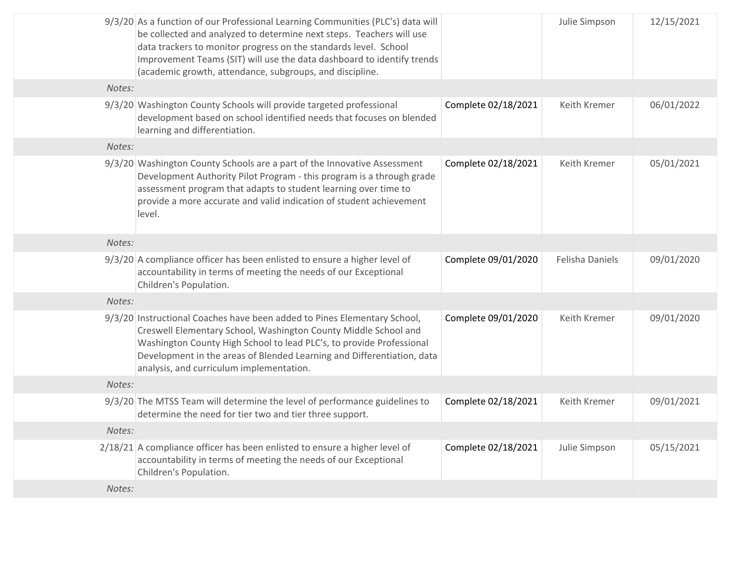|        | 9/3/20 As a function of our Professional Learning Communities (PLC's) data will<br>be collected and analyzed to determine next steps. Teachers will use<br>data trackers to monitor progress on the standards level. School<br>Improvement Teams (SIT) will use the data dashboard to identify trends<br>(academic growth, attendance, subgroups, and discipline. |                     | Julie Simpson          | 12/15/2021 |
|--------|-------------------------------------------------------------------------------------------------------------------------------------------------------------------------------------------------------------------------------------------------------------------------------------------------------------------------------------------------------------------|---------------------|------------------------|------------|
| Notes: |                                                                                                                                                                                                                                                                                                                                                                   |                     |                        |            |
|        | 9/3/20 Washington County Schools will provide targeted professional<br>development based on school identified needs that focuses on blended<br>learning and differentiation.                                                                                                                                                                                      | Complete 02/18/2021 | Keith Kremer           | 06/01/2022 |
| Notes: |                                                                                                                                                                                                                                                                                                                                                                   |                     |                        |            |
|        | 9/3/20 Washington County Schools are a part of the Innovative Assessment<br>Development Authority Pilot Program - this program is a through grade<br>assessment program that adapts to student learning over time to<br>provide a more accurate and valid indication of student achievement<br>level.                                                             | Complete 02/18/2021 | Keith Kremer           | 05/01/2021 |
| Notes: |                                                                                                                                                                                                                                                                                                                                                                   |                     |                        |            |
|        | 9/3/20 A compliance officer has been enlisted to ensure a higher level of<br>accountability in terms of meeting the needs of our Exceptional<br>Children's Population.                                                                                                                                                                                            | Complete 09/01/2020 | <b>Felisha Daniels</b> | 09/01/2020 |
| Notes: |                                                                                                                                                                                                                                                                                                                                                                   |                     |                        |            |
|        | 9/3/20 Instructional Coaches have been added to Pines Elementary School,<br>Creswell Elementary School, Washington County Middle School and<br>Washington County High School to lead PLC's, to provide Professional<br>Development in the areas of Blended Learning and Differentiation, data<br>analysis, and curriculum implementation.                         | Complete 09/01/2020 | Keith Kremer           | 09/01/2020 |
| Notes: |                                                                                                                                                                                                                                                                                                                                                                   |                     |                        |            |
|        | 9/3/20 The MTSS Team will determine the level of performance guidelines to<br>determine the need for tier two and tier three support.                                                                                                                                                                                                                             | Complete 02/18/2021 | Keith Kremer           | 09/01/2021 |
| Notes: |                                                                                                                                                                                                                                                                                                                                                                   |                     |                        |            |
|        | 2/18/21 A compliance officer has been enlisted to ensure a higher level of<br>accountability in terms of meeting the needs of our Exceptional<br>Children's Population.                                                                                                                                                                                           | Complete 02/18/2021 | Julie Simpson          | 05/15/2021 |
| Notes: |                                                                                                                                                                                                                                                                                                                                                                   |                     |                        |            |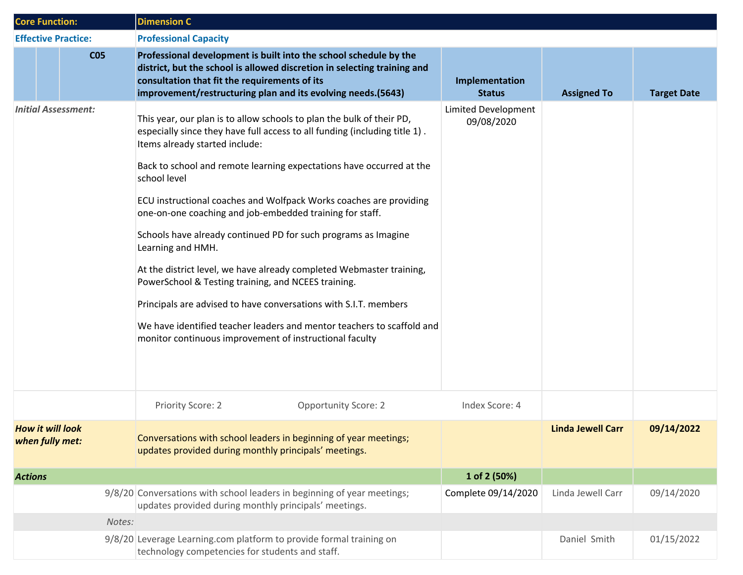| <b>Core Function:</b>                      |  |                            | <b>Dimension C</b>                                                                                                                                                                                                                                                                                                                                                                                                                                                                                                                                                                                                                                                                                                                                                                                                                             |                                   |                          |                    |
|--------------------------------------------|--|----------------------------|------------------------------------------------------------------------------------------------------------------------------------------------------------------------------------------------------------------------------------------------------------------------------------------------------------------------------------------------------------------------------------------------------------------------------------------------------------------------------------------------------------------------------------------------------------------------------------------------------------------------------------------------------------------------------------------------------------------------------------------------------------------------------------------------------------------------------------------------|-----------------------------------|--------------------------|--------------------|
|                                            |  | <b>Effective Practice:</b> | <b>Professional Capacity</b>                                                                                                                                                                                                                                                                                                                                                                                                                                                                                                                                                                                                                                                                                                                                                                                                                   |                                   |                          |                    |
|                                            |  | <b>CO5</b>                 | Professional development is built into the school schedule by the<br>district, but the school is allowed discretion in selecting training and<br>consultation that fit the requirements of its<br>improvement/restructuring plan and its evolving needs.(5643)                                                                                                                                                                                                                                                                                                                                                                                                                                                                                                                                                                                 | Implementation<br><b>Status</b>   | <b>Assigned To</b>       | <b>Target Date</b> |
|                                            |  | <b>Initial Assessment:</b> | This year, our plan is to allow schools to plan the bulk of their PD,<br>especially since they have full access to all funding (including title 1).<br>Items already started include:<br>Back to school and remote learning expectations have occurred at the<br>school level<br>ECU instructional coaches and Wolfpack Works coaches are providing<br>one-on-one coaching and job-embedded training for staff.<br>Schools have already continued PD for such programs as Imagine<br>Learning and HMH.<br>At the district level, we have already completed Webmaster training,<br>PowerSchool & Testing training, and NCEES training.<br>Principals are advised to have conversations with S.I.T. members<br>We have identified teacher leaders and mentor teachers to scaffold and<br>monitor continuous improvement of instructional faculty | Limited Development<br>09/08/2020 |                          |                    |
|                                            |  |                            | Priority Score: 2<br><b>Opportunity Score: 2</b>                                                                                                                                                                                                                                                                                                                                                                                                                                                                                                                                                                                                                                                                                                                                                                                               | Index Score: 4                    |                          |                    |
| <b>How it will look</b><br>when fully met: |  |                            | Conversations with school leaders in beginning of year meetings;<br>updates provided during monthly principals' meetings.                                                                                                                                                                                                                                                                                                                                                                                                                                                                                                                                                                                                                                                                                                                      |                                   | <b>Linda Jewell Carr</b> | 09/14/2022         |
| <b>Actions</b>                             |  |                            |                                                                                                                                                                                                                                                                                                                                                                                                                                                                                                                                                                                                                                                                                                                                                                                                                                                | 1 of 2 (50%)                      |                          |                    |
|                                            |  |                            | 9/8/20 Conversations with school leaders in beginning of year meetings;<br>updates provided during monthly principals' meetings.                                                                                                                                                                                                                                                                                                                                                                                                                                                                                                                                                                                                                                                                                                               | Complete 09/14/2020               | Linda Jewell Carr        | 09/14/2020         |
|                                            |  | Notes:                     |                                                                                                                                                                                                                                                                                                                                                                                                                                                                                                                                                                                                                                                                                                                                                                                                                                                |                                   |                          |                    |
|                                            |  |                            | 9/8/20 Leverage Learning.com platform to provide formal training on<br>technology competencies for students and staff.                                                                                                                                                                                                                                                                                                                                                                                                                                                                                                                                                                                                                                                                                                                         |                                   | Daniel Smith             | 01/15/2022         |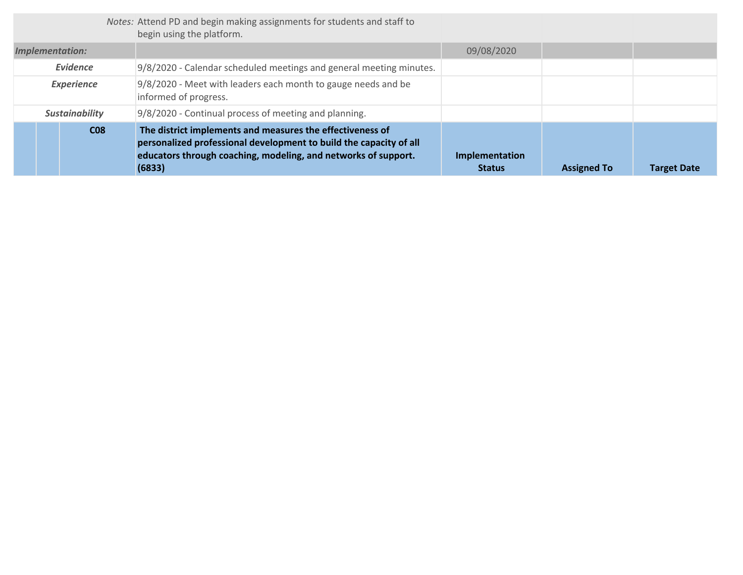|                       | Notes: Attend PD and begin making assignments for students and staff to<br>begin using the platform.                                                                                                        |                                 |                    |                    |
|-----------------------|-------------------------------------------------------------------------------------------------------------------------------------------------------------------------------------------------------------|---------------------------------|--------------------|--------------------|
| Implementation:       |                                                                                                                                                                                                             | 09/08/2020                      |                    |                    |
| Evidence              | 9/8/2020 - Calendar scheduled meetings and general meeting minutes.                                                                                                                                         |                                 |                    |                    |
| <b>Experience</b>     | 9/8/2020 - Meet with leaders each month to gauge needs and be<br>informed of progress.                                                                                                                      |                                 |                    |                    |
| <b>Sustainability</b> | 9/8/2020 - Continual process of meeting and planning.                                                                                                                                                       |                                 |                    |                    |
| C <sub>08</sub>       | The district implements and measures the effectiveness of<br>personalized professional development to build the capacity of all<br>educators through coaching, modeling, and networks of support.<br>(6833) | Implementation<br><b>Status</b> | <b>Assigned To</b> | <b>Target Date</b> |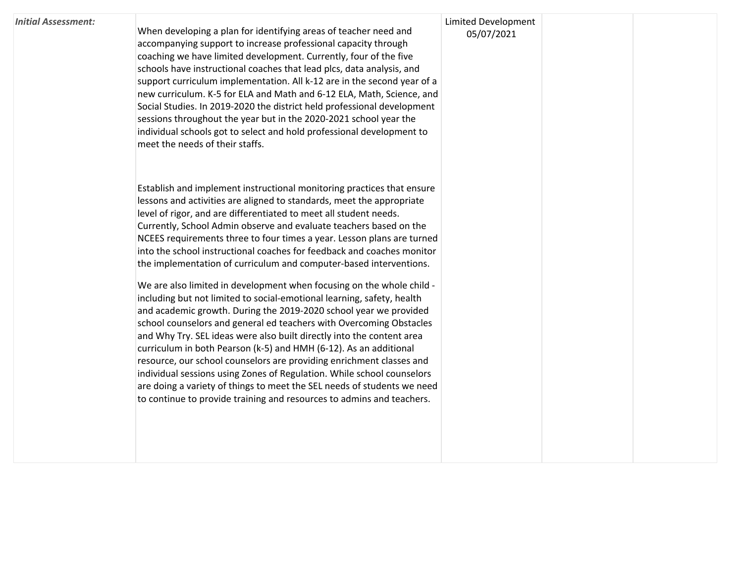#### *Initial Assessment:*

When developing a plan for identifying areas of teacher need and accompanying support to increase professional capacity through coaching we have limited development. Currently, four of the five schools have instructional coaches that lead plcs, data analysis, and support curriculum implementation. All k-12 are in the second year of a new curriculum. K-5 for ELA and Math and 6-12 ELA, Math, Science, and Social Studies. In 2019-2020 the district held professional development sessions throughout the year but in the 2020-2021 school year the individual schools got to select and hold professional development to meet the needs of their staffs.

Establish and implement instructional monitoring practices that ensure lessons and activities are aligned to standards, meet the appropriate level of rigor, and are differentiated to meet all student needs. Currently, School Admin observe and evaluate teachers based on the NCEES requirements three to four times a year. Lesson plans are turned into the school instructional coaches for feedback and coaches monitor the implementation of curriculum and computer-based interventions.

We are also limited in development when focusing on the whole child including but not limited to social-emotional learning, safety, health and academic growth. During the 2019-2020 school year we provided school counselors and general ed teachers with Overcoming Obstacles and Why Try. SEL ideas were also built directly into the content area curriculum in both Pearson (k-5) and HMH (6-12). As an additional resource, our school counselors are providing enrichment classes and individual sessions using Zones of Regulation. While school counselors are doing a variety of things to meet the SEL needs of students we need to continue to provide training and resources to admins and teachers.

### Limited Development 05/07/2021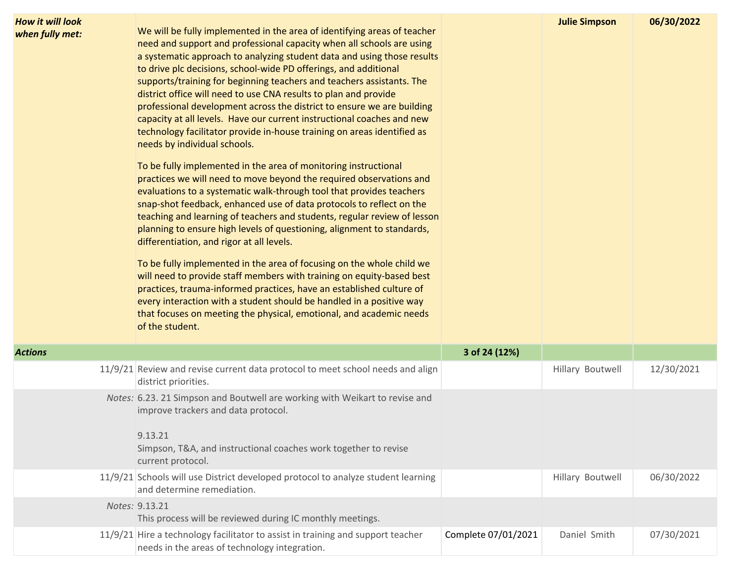| <b>How it will look</b><br>when fully met: | We will be fully implemented in the area of identifying areas of teacher<br>need and support and professional capacity when all schools are using<br>a systematic approach to analyzing student data and using those results<br>to drive plc decisions, school-wide PD offerings, and additional<br>supports/training for beginning teachers and teachers assistants. The<br>district office will need to use CNA results to plan and provide<br>professional development across the district to ensure we are building<br>capacity at all levels. Have our current instructional coaches and new<br>technology facilitator provide in-house training on areas identified as<br>needs by individual schools.<br>To be fully implemented in the area of monitoring instructional<br>practices we will need to move beyond the required observations and<br>evaluations to a systematic walk-through tool that provides teachers<br>snap-shot feedback, enhanced use of data protocols to reflect on the<br>teaching and learning of teachers and students, regular review of lesson<br>planning to ensure high levels of questioning, alignment to standards,<br>differentiation, and rigor at all levels.<br>To be fully implemented in the area of focusing on the whole child we<br>will need to provide staff members with training on equity-based best<br>practices, trauma-informed practices, have an established culture of<br>every interaction with a student should be handled in a positive way<br>that focuses on meeting the physical, emotional, and academic needs<br>of the student. |                     | <b>Julie Simpson</b> | 06/30/2022 |
|--------------------------------------------|-------------------------------------------------------------------------------------------------------------------------------------------------------------------------------------------------------------------------------------------------------------------------------------------------------------------------------------------------------------------------------------------------------------------------------------------------------------------------------------------------------------------------------------------------------------------------------------------------------------------------------------------------------------------------------------------------------------------------------------------------------------------------------------------------------------------------------------------------------------------------------------------------------------------------------------------------------------------------------------------------------------------------------------------------------------------------------------------------------------------------------------------------------------------------------------------------------------------------------------------------------------------------------------------------------------------------------------------------------------------------------------------------------------------------------------------------------------------------------------------------------------------------------------------------------------------------------------------------------|---------------------|----------------------|------------|
| <b>Actions</b>                             |                                                                                                                                                                                                                                                                                                                                                                                                                                                                                                                                                                                                                                                                                                                                                                                                                                                                                                                                                                                                                                                                                                                                                                                                                                                                                                                                                                                                                                                                                                                                                                                                       | 3 of 24 (12%)       |                      |            |
|                                            | 11/9/21 Review and revise current data protocol to meet school needs and align<br>district priorities.                                                                                                                                                                                                                                                                                                                                                                                                                                                                                                                                                                                                                                                                                                                                                                                                                                                                                                                                                                                                                                                                                                                                                                                                                                                                                                                                                                                                                                                                                                |                     | Hillary Boutwell     | 12/30/2021 |
|                                            | Notes: 6.23. 21 Simpson and Boutwell are working with Weikart to revise and<br>improve trackers and data protocol.<br>9.13.21<br>Simpson, T&A, and instructional coaches work together to revise<br>current protocol.                                                                                                                                                                                                                                                                                                                                                                                                                                                                                                                                                                                                                                                                                                                                                                                                                                                                                                                                                                                                                                                                                                                                                                                                                                                                                                                                                                                 |                     |                      |            |
|                                            | 11/9/21 Schools will use District developed protocol to analyze student learning<br>and determine remediation.                                                                                                                                                                                                                                                                                                                                                                                                                                                                                                                                                                                                                                                                                                                                                                                                                                                                                                                                                                                                                                                                                                                                                                                                                                                                                                                                                                                                                                                                                        |                     | Hillary Boutwell     | 06/30/2022 |
|                                            | Notes: 9.13.21<br>This process will be reviewed during IC monthly meetings.                                                                                                                                                                                                                                                                                                                                                                                                                                                                                                                                                                                                                                                                                                                                                                                                                                                                                                                                                                                                                                                                                                                                                                                                                                                                                                                                                                                                                                                                                                                           |                     |                      |            |
|                                            | 11/9/21 Hire a technology facilitator to assist in training and support teacher<br>needs in the areas of technology integration.                                                                                                                                                                                                                                                                                                                                                                                                                                                                                                                                                                                                                                                                                                                                                                                                                                                                                                                                                                                                                                                                                                                                                                                                                                                                                                                                                                                                                                                                      | Complete 07/01/2021 | Daniel Smith         | 07/30/2021 |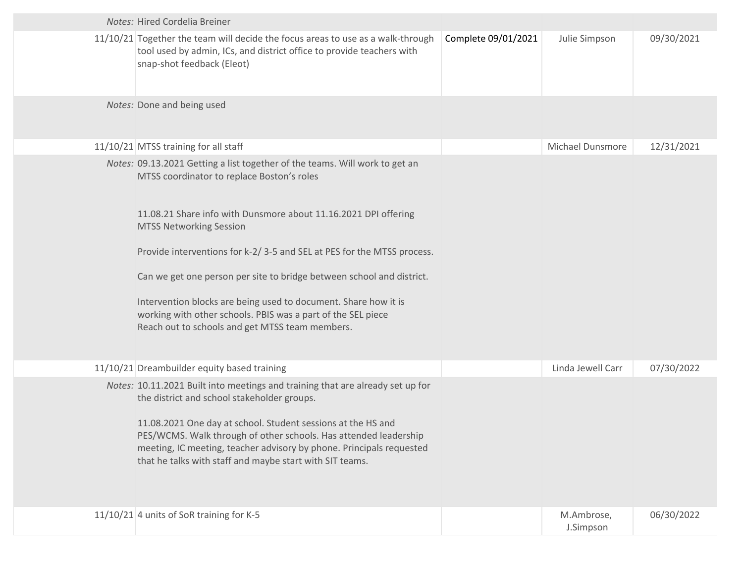| Notes: Hired Cordelia Breiner                                                                                                                                                                                                                                                                                                                                                                                                                                                                                                                                           |                     |                         |            |
|-------------------------------------------------------------------------------------------------------------------------------------------------------------------------------------------------------------------------------------------------------------------------------------------------------------------------------------------------------------------------------------------------------------------------------------------------------------------------------------------------------------------------------------------------------------------------|---------------------|-------------------------|------------|
| 11/10/21 Together the team will decide the focus areas to use as a walk-through<br>tool used by admin, ICs, and district office to provide teachers with<br>snap-shot feedback (Eleot)                                                                                                                                                                                                                                                                                                                                                                                  | Complete 09/01/2021 | Julie Simpson           | 09/30/2021 |
| Notes: Done and being used                                                                                                                                                                                                                                                                                                                                                                                                                                                                                                                                              |                     |                         |            |
| 11/10/21 MTSS training for all staff                                                                                                                                                                                                                                                                                                                                                                                                                                                                                                                                    |                     | Michael Dunsmore        | 12/31/2021 |
| Notes: 09.13.2021 Getting a list together of the teams. Will work to get an<br>MTSS coordinator to replace Boston's roles<br>11.08.21 Share info with Dunsmore about 11.16.2021 DPI offering<br><b>MTSS Networking Session</b><br>Provide interventions for k-2/3-5 and SEL at PES for the MTSS process.<br>Can we get one person per site to bridge between school and district.<br>Intervention blocks are being used to document. Share how it is<br>working with other schools. PBIS was a part of the SEL piece<br>Reach out to schools and get MTSS team members. |                     |                         |            |
| 11/10/21 Dreambuilder equity based training                                                                                                                                                                                                                                                                                                                                                                                                                                                                                                                             |                     | Linda Jewell Carr       | 07/30/2022 |
| Notes: 10.11.2021 Built into meetings and training that are already set up for<br>the district and school stakeholder groups.<br>11.08.2021 One day at school. Student sessions at the HS and<br>PES/WCMS. Walk through of other schools. Has attended leadership<br>meeting, IC meeting, teacher advisory by phone. Principals requested<br>that he talks with staff and maybe start with SIT teams.                                                                                                                                                                   |                     |                         |            |
| 11/10/21 4 units of SoR training for K-5                                                                                                                                                                                                                                                                                                                                                                                                                                                                                                                                |                     | M.Ambrose,<br>J.Simpson | 06/30/2022 |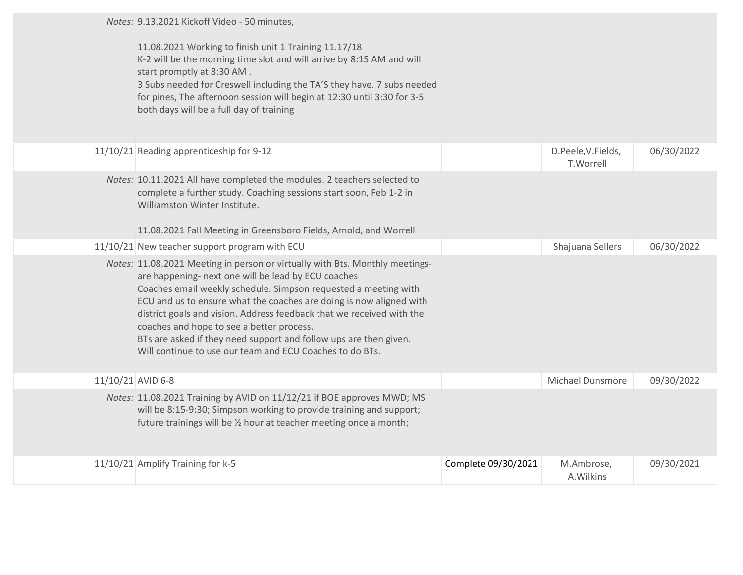|                   | Notes: 9.13.2021 Kickoff Video - 50 minutes,<br>11.08.2021 Working to finish unit 1 Training 11.17/18                                                                                                                                                                                                                                                                                                                                                                    |                     |                                 |            |
|-------------------|--------------------------------------------------------------------------------------------------------------------------------------------------------------------------------------------------------------------------------------------------------------------------------------------------------------------------------------------------------------------------------------------------------------------------------------------------------------------------|---------------------|---------------------------------|------------|
|                   | K-2 will be the morning time slot and will arrive by 8:15 AM and will<br>start promptly at 8:30 AM.                                                                                                                                                                                                                                                                                                                                                                      |                     |                                 |            |
|                   | 3 Subs needed for Creswell including the TA'S they have. 7 subs needed                                                                                                                                                                                                                                                                                                                                                                                                   |                     |                                 |            |
|                   | for pines, The afternoon session will begin at 12:30 until 3:30 for 3-5<br>both days will be a full day of training                                                                                                                                                                                                                                                                                                                                                      |                     |                                 |            |
|                   |                                                                                                                                                                                                                                                                                                                                                                                                                                                                          |                     |                                 |            |
|                   | 11/10/21 Reading apprenticeship for 9-12                                                                                                                                                                                                                                                                                                                                                                                                                                 |                     | D.Peele, V.Fields,<br>T.Worrell | 06/30/2022 |
|                   | Notes: 10.11.2021 All have completed the modules. 2 teachers selected to<br>complete a further study. Coaching sessions start soon, Feb 1-2 in<br>Williamston Winter Institute.                                                                                                                                                                                                                                                                                          |                     |                                 |            |
|                   | 11.08.2021 Fall Meeting in Greensboro Fields, Arnold, and Worrell                                                                                                                                                                                                                                                                                                                                                                                                        |                     |                                 |            |
|                   | 11/10/21 New teacher support program with ECU                                                                                                                                                                                                                                                                                                                                                                                                                            |                     | Shajuana Sellers                | 06/30/2022 |
|                   |                                                                                                                                                                                                                                                                                                                                                                                                                                                                          |                     |                                 |            |
|                   | Notes: 11.08.2021 Meeting in person or virtually with Bts. Monthly meetings-<br>are happening- next one will be lead by ECU coaches<br>Coaches email weekly schedule. Simpson requested a meeting with<br>ECU and us to ensure what the coaches are doing is now aligned with<br>district goals and vision. Address feedback that we received with the<br>coaches and hope to see a better process.<br>BTs are asked if they need support and follow ups are then given. |                     |                                 |            |
|                   | Will continue to use our team and ECU Coaches to do BTs.                                                                                                                                                                                                                                                                                                                                                                                                                 |                     |                                 |            |
|                   |                                                                                                                                                                                                                                                                                                                                                                                                                                                                          |                     |                                 |            |
| 11/10/21 AVID 6-8 |                                                                                                                                                                                                                                                                                                                                                                                                                                                                          |                     | Michael Dunsmore                | 09/30/2022 |
|                   | Notes: 11.08.2021 Training by AVID on 11/12/21 if BOE approves MWD; MS<br>will be 8:15-9:30; Simpson working to provide training and support;<br>future trainings will be % hour at teacher meeting once a month;                                                                                                                                                                                                                                                        |                     |                                 |            |
|                   | 11/10/21 Amplify Training for k-5                                                                                                                                                                                                                                                                                                                                                                                                                                        | Complete 09/30/2021 | M.Ambrose,<br>A.Wilkins         | 09/30/2021 |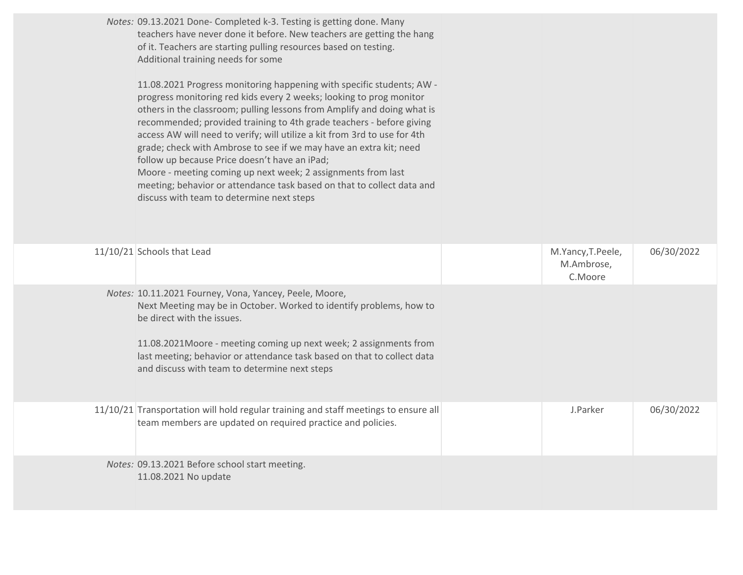| Notes: 09.13.2021 Done- Completed k-3. Testing is getting done. Many<br>teachers have never done it before. New teachers are getting the hang<br>of it. Teachers are starting pulling resources based on testing.<br>Additional training needs for some<br>11.08.2021 Progress monitoring happening with specific students; AW -<br>progress monitoring red kids every 2 weeks; looking to prog monitor<br>others in the classroom; pulling lessons from Amplify and doing what is<br>recommended; provided training to 4th grade teachers - before giving<br>access AW will need to verify; will utilize a kit from 3rd to use for 4th<br>grade; check with Ambrose to see if we may have an extra kit; need<br>follow up because Price doesn't have an iPad;<br>Moore - meeting coming up next week; 2 assignments from last<br>meeting; behavior or attendance task based on that to collect data and<br>discuss with team to determine next steps |                                            |            |
|-------------------------------------------------------------------------------------------------------------------------------------------------------------------------------------------------------------------------------------------------------------------------------------------------------------------------------------------------------------------------------------------------------------------------------------------------------------------------------------------------------------------------------------------------------------------------------------------------------------------------------------------------------------------------------------------------------------------------------------------------------------------------------------------------------------------------------------------------------------------------------------------------------------------------------------------------------|--------------------------------------------|------------|
| 11/10/21 Schools that Lead                                                                                                                                                                                                                                                                                                                                                                                                                                                                                                                                                                                                                                                                                                                                                                                                                                                                                                                            | M.Yancy, T.Peele,<br>M.Ambrose,<br>C.Moore | 06/30/2022 |
| Notes: 10.11.2021 Fourney, Vona, Yancey, Peele, Moore,<br>Next Meeting may be in October. Worked to identify problems, how to<br>be direct with the issues.<br>11.08.2021Moore - meeting coming up next week; 2 assignments from<br>last meeting; behavior or attendance task based on that to collect data<br>and discuss with team to determine next steps                                                                                                                                                                                                                                                                                                                                                                                                                                                                                                                                                                                          |                                            |            |
| 11/10/21 Transportation will hold regular training and staff meetings to ensure all<br>team members are updated on required practice and policies.                                                                                                                                                                                                                                                                                                                                                                                                                                                                                                                                                                                                                                                                                                                                                                                                    | J.Parker                                   | 06/30/2022 |
| Notes: 09.13.2021 Before school start meeting.<br>11.08.2021 No update                                                                                                                                                                                                                                                                                                                                                                                                                                                                                                                                                                                                                                                                                                                                                                                                                                                                                |                                            |            |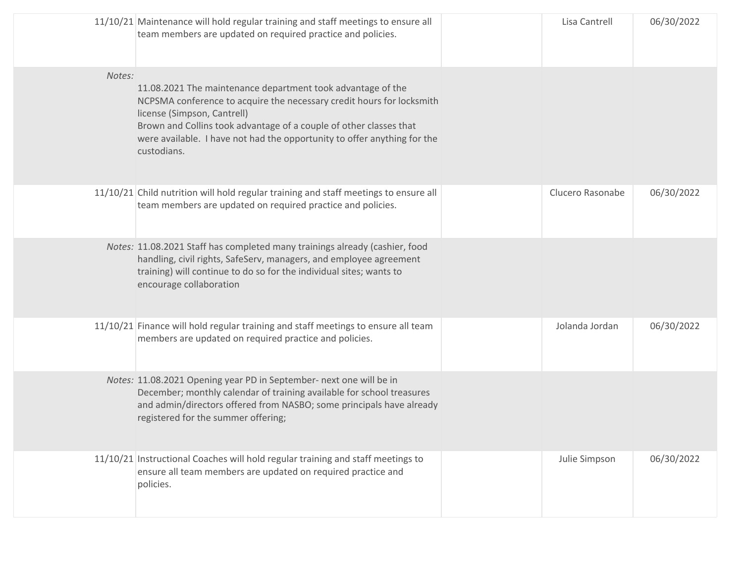|        | 11/10/21 Maintenance will hold regular training and staff meetings to ensure all<br>team members are updated on required practice and policies.                                                                                                                                                                                      | Lisa Cantrell    | 06/30/2022 |
|--------|--------------------------------------------------------------------------------------------------------------------------------------------------------------------------------------------------------------------------------------------------------------------------------------------------------------------------------------|------------------|------------|
| Notes: | 11.08.2021 The maintenance department took advantage of the<br>NCPSMA conference to acquire the necessary credit hours for locksmith<br>license (Simpson, Cantrell)<br>Brown and Collins took advantage of a couple of other classes that<br>were available. I have not had the opportunity to offer anything for the<br>custodians. |                  |            |
|        | 11/10/21 Child nutrition will hold regular training and staff meetings to ensure all<br>team members are updated on required practice and policies.                                                                                                                                                                                  | Clucero Rasonabe | 06/30/2022 |
|        | Notes: 11.08.2021 Staff has completed many trainings already (cashier, food<br>handling, civil rights, SafeServ, managers, and employee agreement<br>training) will continue to do so for the individual sites; wants to<br>encourage collaboration                                                                                  |                  |            |
|        | 11/10/21 Finance will hold regular training and staff meetings to ensure all team<br>members are updated on required practice and policies.                                                                                                                                                                                          | Jolanda Jordan   | 06/30/2022 |
|        | Notes: 11.08.2021 Opening year PD in September- next one will be in<br>December; monthly calendar of training available for school treasures<br>and admin/directors offered from NASBO; some principals have already<br>registered for the summer offering;                                                                          |                  |            |
|        | 11/10/21 Instructional Coaches will hold regular training and staff meetings to<br>ensure all team members are updated on required practice and<br>policies.                                                                                                                                                                         | Julie Simpson    | 06/30/2022 |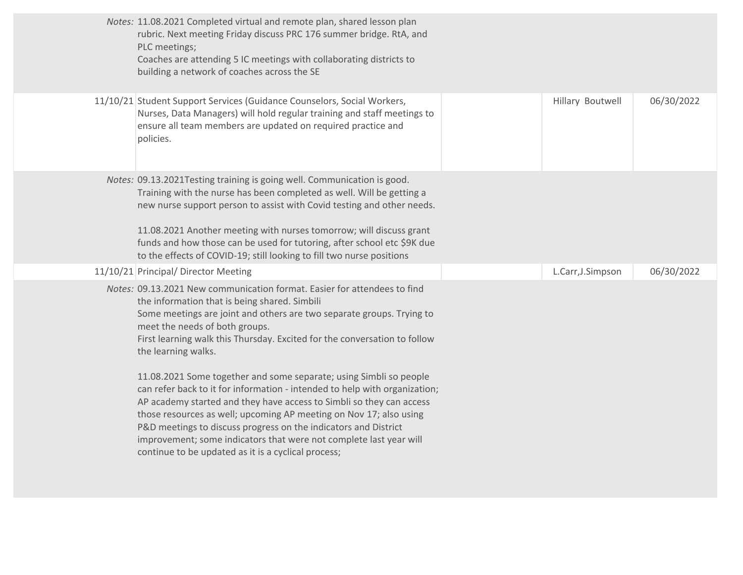| Notes: 11.08.2021 Completed virtual and remote plan, shared lesson plan<br>rubric. Next meeting Friday discuss PRC 176 summer bridge. RtA, and<br>PLC meetings;<br>Coaches are attending 5 IC meetings with collaborating districts to<br>building a network of coaches across the SE                                                                                                                                                                                                                                                                                |                   |            |
|----------------------------------------------------------------------------------------------------------------------------------------------------------------------------------------------------------------------------------------------------------------------------------------------------------------------------------------------------------------------------------------------------------------------------------------------------------------------------------------------------------------------------------------------------------------------|-------------------|------------|
| 11/10/21 Student Support Services (Guidance Counselors, Social Workers,<br>Nurses, Data Managers) will hold regular training and staff meetings to<br>ensure all team members are updated on required practice and<br>policies.                                                                                                                                                                                                                                                                                                                                      | Hillary Boutwell  | 06/30/2022 |
| Notes: 09.13.2021 Testing training is going well. Communication is good.<br>Training with the nurse has been completed as well. Will be getting a<br>new nurse support person to assist with Covid testing and other needs.<br>11.08.2021 Another meeting with nurses tomorrow; will discuss grant<br>funds and how those can be used for tutoring, after school etc \$9K due<br>to the effects of COVID-19; still looking to fill two nurse positions                                                                                                               |                   |            |
| 11/10/21 Principal/ Director Meeting                                                                                                                                                                                                                                                                                                                                                                                                                                                                                                                                 | L.Carr, J.Simpson | 06/30/2022 |
| Notes: 09.13.2021 New communication format. Easier for attendees to find<br>the information that is being shared. Simbili<br>Some meetings are joint and others are two separate groups. Trying to<br>meet the needs of both groups.<br>First learning walk this Thursday. Excited for the conversation to follow<br>the learning walks.<br>11.08.2021 Some together and some separate; using Simbli so people<br>can refer back to it for information - intended to help with organization;<br>AP academy started and they have access to Simbli so they can access |                   |            |
| those resources as well; upcoming AP meeting on Nov 17; also using<br>P&D meetings to discuss progress on the indicators and District<br>improvement; some indicators that were not complete last year will<br>continue to be updated as it is a cyclical process;                                                                                                                                                                                                                                                                                                   |                   |            |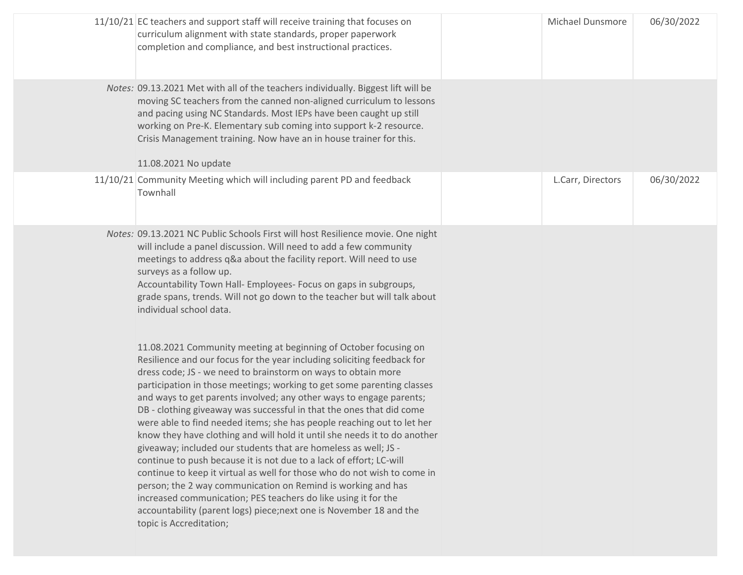|                                                                        | <b>Michael Dunsmore</b>                                                                                                                                                                                                                                                                                                                                                                      | 06/30/2022 |
|------------------------------------------------------------------------|----------------------------------------------------------------------------------------------------------------------------------------------------------------------------------------------------------------------------------------------------------------------------------------------------------------------------------------------------------------------------------------------|------------|
|                                                                        |                                                                                                                                                                                                                                                                                                                                                                                              |            |
|                                                                        | L.Carr, Directors                                                                                                                                                                                                                                                                                                                                                                            | 06/30/2022 |
|                                                                        |                                                                                                                                                                                                                                                                                                                                                                                              |            |
| participation in those meetings; working to get some parenting classes | moving SC teachers from the canned non-aligned curriculum to lessons<br>Notes: 09.13.2021 NC Public Schools First will host Resilience movie. One night<br>grade spans, trends. Will not go down to the teacher but will talk about<br>know they have clothing and will hold it until she needs it to do another<br>continue to keep it virtual as well for those who do not wish to come in |            |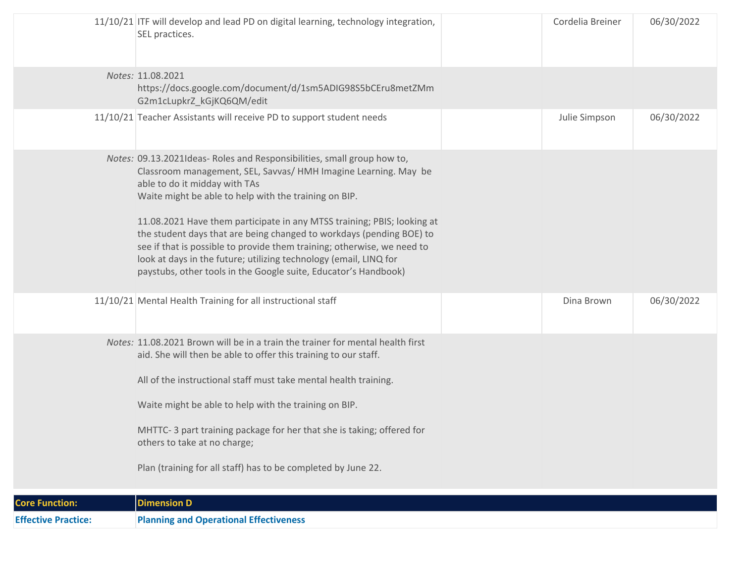| <b>Effective Practice:</b> | <b>Planning and Operational Effectiveness</b>                                                                                                                                                                                                                                                                                                                                                                                                                                                                                                                                                              |                  |            |
|----------------------------|------------------------------------------------------------------------------------------------------------------------------------------------------------------------------------------------------------------------------------------------------------------------------------------------------------------------------------------------------------------------------------------------------------------------------------------------------------------------------------------------------------------------------------------------------------------------------------------------------------|------------------|------------|
| <b>Core Function:</b>      | <b>Dimension D</b>                                                                                                                                                                                                                                                                                                                                                                                                                                                                                                                                                                                         |                  |            |
|                            | Notes: 11.08.2021 Brown will be in a train the trainer for mental health first<br>aid. She will then be able to offer this training to our staff.<br>All of the instructional staff must take mental health training.<br>Waite might be able to help with the training on BIP.<br>MHTTC-3 part training package for her that she is taking; offered for<br>others to take at no charge;<br>Plan (training for all staff) has to be completed by June 22.                                                                                                                                                   |                  |            |
|                            | 11/10/21 Mental Health Training for all instructional staff                                                                                                                                                                                                                                                                                                                                                                                                                                                                                                                                                | Dina Brown       | 06/30/2022 |
|                            | Notes: 09.13.2021Ideas- Roles and Responsibilities, small group how to,<br>Classroom management, SEL, Savvas/ HMH Imagine Learning. May be<br>able to do it midday with TAs<br>Waite might be able to help with the training on BIP.<br>11.08.2021 Have them participate in any MTSS training; PBIS; looking at<br>the student days that are being changed to workdays (pending BOE) to<br>see if that is possible to provide them training; otherwise, we need to<br>look at days in the future; utilizing technology (email, LINQ for<br>paystubs, other tools in the Google suite, Educator's Handbook) |                  |            |
|                            | 11/10/21 Teacher Assistants will receive PD to support student needs                                                                                                                                                                                                                                                                                                                                                                                                                                                                                                                                       | Julie Simpson    | 06/30/2022 |
|                            | Notes: 11.08.2021<br>https://docs.google.com/document/d/1sm5ADIG98S5bCEru8metZMm<br>G2m1cLupkrZ_kGjKQ6QM/edit                                                                                                                                                                                                                                                                                                                                                                                                                                                                                              |                  |            |
|                            | $11/10/21$ ITF will develop and lead PD on digital learning, technology integration,<br>SEL practices.                                                                                                                                                                                                                                                                                                                                                                                                                                                                                                     | Cordelia Breiner | 06/30/2022 |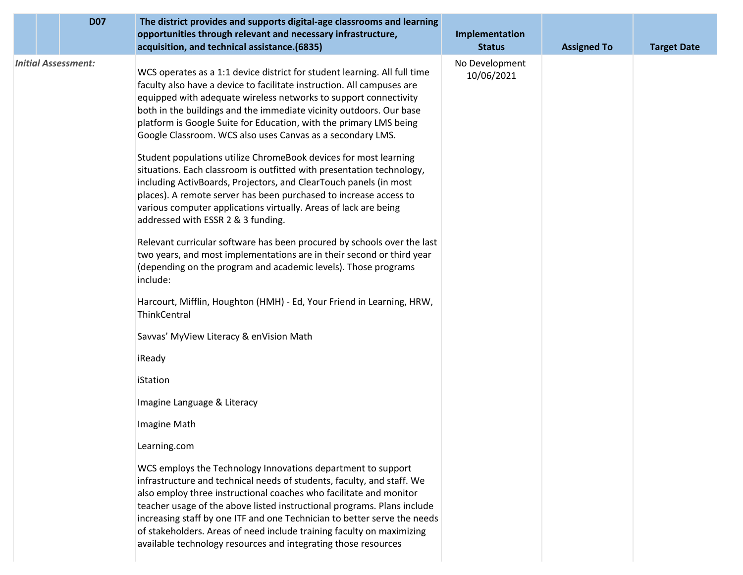|  | <b>D07</b>                 | The district provides and supports digital-age classrooms and learning<br>opportunities through relevant and necessary infrastructure,<br>acquisition, and technical assistance.(6835)                                                                                                                                                                                                                                                                                                                                                                                                                                                                                                                                    | Implementation<br><b>Status</b> | <b>Assigned To</b> | <b>Target Date</b> |
|--|----------------------------|---------------------------------------------------------------------------------------------------------------------------------------------------------------------------------------------------------------------------------------------------------------------------------------------------------------------------------------------------------------------------------------------------------------------------------------------------------------------------------------------------------------------------------------------------------------------------------------------------------------------------------------------------------------------------------------------------------------------------|---------------------------------|--------------------|--------------------|
|  | <b>Initial Assessment:</b> | WCS operates as a 1:1 device district for student learning. All full time<br>faculty also have a device to facilitate instruction. All campuses are<br>equipped with adequate wireless networks to support connectivity<br>both in the buildings and the immediate vicinity outdoors. Our base<br>platform is Google Suite for Education, with the primary LMS being<br>Google Classroom. WCS also uses Canvas as a secondary LMS.<br>Student populations utilize ChromeBook devices for most learning<br>situations. Each classroom is outfitted with presentation technology,<br>including ActivBoards, Projectors, and ClearTouch panels (in most<br>places). A remote server has been purchased to increase access to | No Development<br>10/06/2021    |                    |                    |
|  |                            | various computer applications virtually. Areas of lack are being<br>addressed with ESSR 2 & 3 funding.                                                                                                                                                                                                                                                                                                                                                                                                                                                                                                                                                                                                                    |                                 |                    |                    |
|  |                            | Relevant curricular software has been procured by schools over the last<br>two years, and most implementations are in their second or third year<br>(depending on the program and academic levels). Those programs<br>include:                                                                                                                                                                                                                                                                                                                                                                                                                                                                                            |                                 |                    |                    |
|  |                            | Harcourt, Mifflin, Houghton (HMH) - Ed, Your Friend in Learning, HRW,<br>ThinkCentral                                                                                                                                                                                                                                                                                                                                                                                                                                                                                                                                                                                                                                     |                                 |                    |                    |
|  |                            | Savvas' MyView Literacy & enVision Math                                                                                                                                                                                                                                                                                                                                                                                                                                                                                                                                                                                                                                                                                   |                                 |                    |                    |
|  |                            | iReady                                                                                                                                                                                                                                                                                                                                                                                                                                                                                                                                                                                                                                                                                                                    |                                 |                    |                    |
|  |                            | iStation                                                                                                                                                                                                                                                                                                                                                                                                                                                                                                                                                                                                                                                                                                                  |                                 |                    |                    |
|  |                            | Imagine Language & Literacy                                                                                                                                                                                                                                                                                                                                                                                                                                                                                                                                                                                                                                                                                               |                                 |                    |                    |
|  |                            | Imagine Math                                                                                                                                                                                                                                                                                                                                                                                                                                                                                                                                                                                                                                                                                                              |                                 |                    |                    |
|  |                            | Learning.com                                                                                                                                                                                                                                                                                                                                                                                                                                                                                                                                                                                                                                                                                                              |                                 |                    |                    |
|  |                            | WCS employs the Technology Innovations department to support<br>infrastructure and technical needs of students, faculty, and staff. We<br>also employ three instructional coaches who facilitate and monitor<br>teacher usage of the above listed instructional programs. Plans include<br>increasing staff by one ITF and one Technician to better serve the needs<br>of stakeholders. Areas of need include training faculty on maximizing<br>available technology resources and integrating those resources                                                                                                                                                                                                            |                                 |                    |                    |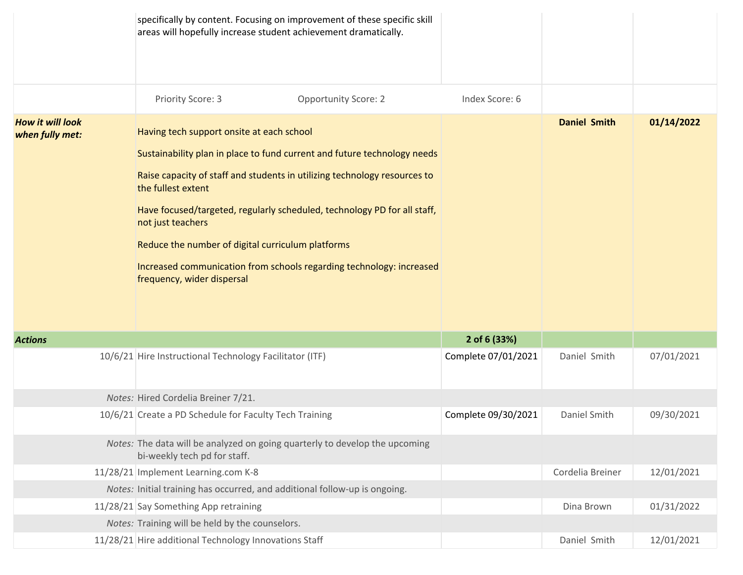|                                            | specifically by content. Focusing on improvement of these specific skill<br>areas will hopefully increase student achievement dramatically.                                                                                                                                                                                                                                                                                                                                          |                             |                |                     |            |
|--------------------------------------------|--------------------------------------------------------------------------------------------------------------------------------------------------------------------------------------------------------------------------------------------------------------------------------------------------------------------------------------------------------------------------------------------------------------------------------------------------------------------------------------|-----------------------------|----------------|---------------------|------------|
|                                            | Priority Score: 3                                                                                                                                                                                                                                                                                                                                                                                                                                                                    | <b>Opportunity Score: 2</b> | Index Score: 6 |                     |            |
| <b>How it will look</b><br>when fully met: | Having tech support onsite at each school<br>Sustainability plan in place to fund current and future technology needs<br>Raise capacity of staff and students in utilizing technology resources to<br>the fullest extent<br>Have focused/targeted, regularly scheduled, technology PD for all staff,<br>not just teachers<br>Reduce the number of digital curriculum platforms<br>Increased communication from schools regarding technology: increased<br>frequency, wider dispersal |                             |                | <b>Daniel Smith</b> | 01/14/2022 |

| <b>Actions</b> |                                                                                                             | 2 of 6 (33%)        |                  |            |
|----------------|-------------------------------------------------------------------------------------------------------------|---------------------|------------------|------------|
|                | 10/6/21 Hire Instructional Technology Facilitator (ITF)                                                     | Complete 07/01/2021 | Daniel Smith     | 07/01/2021 |
|                | Notes: Hired Cordelia Breiner 7/21.                                                                         |                     |                  |            |
|                | 10/6/21 Create a PD Schedule for Faculty Tech Training                                                      | Complete 09/30/2021 | Daniel Smith     | 09/30/2021 |
|                | Notes: The data will be analyzed on going quarterly to develop the upcoming<br>bi-weekly tech pd for staff. |                     |                  |            |
|                | 11/28/21 Implement Learning.com K-8                                                                         |                     | Cordelia Breiner | 12/01/2021 |
|                | Notes: Initial training has occurred, and additional follow-up is ongoing.                                  |                     |                  |            |
|                | 11/28/21 Say Something App retraining                                                                       |                     | Dina Brown       | 01/31/2022 |
|                | Notes: Training will be held by the counselors.                                                             |                     |                  |            |
|                | 11/28/21 Hire additional Technology Innovations Staff                                                       |                     | Daniel Smith     | 12/01/2021 |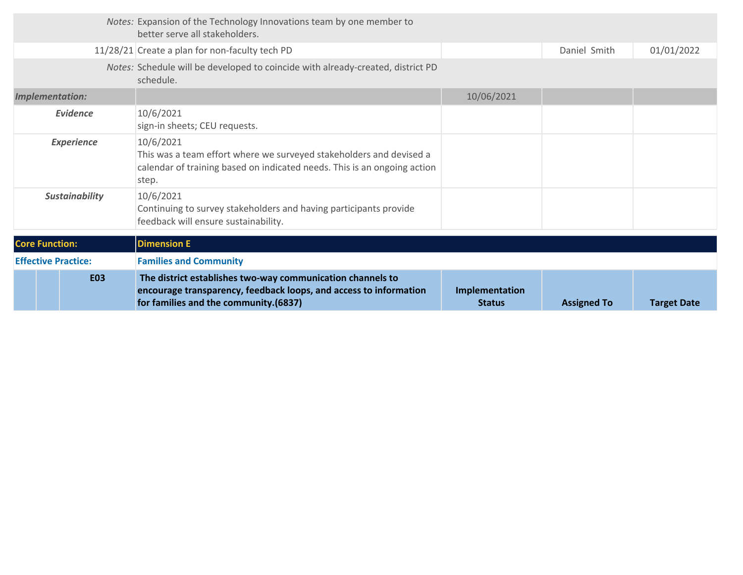| <b>E03</b>                 | The district establishes two-way communication channels to<br>encourage transparency, feedback loops, and access to information<br>for families and the community.(6837) | Implementation<br><b>Status</b> | <b>Assigned To</b> | <b>Target Date</b> |
|----------------------------|--------------------------------------------------------------------------------------------------------------------------------------------------------------------------|---------------------------------|--------------------|--------------------|
| <b>Effective Practice:</b> | <b>Families and Community</b>                                                                                                                                            |                                 |                    |                    |
| <b>Core Function:</b>      | <b>Dimension E</b>                                                                                                                                                       |                                 |                    |                    |
| <b>Sustainability</b>      | 10/6/2021<br>Continuing to survey stakeholders and having participants provide<br>feedback will ensure sustainability.                                                   |                                 |                    |                    |
| <b>Experience</b>          | 10/6/2021<br>This was a team effort where we surveyed stakeholders and devised a<br>calendar of training based on indicated needs. This is an ongoing action<br>step.    |                                 |                    |                    |
| <b>Evidence</b>            | 10/6/2021<br>sign-in sheets; CEU requests.                                                                                                                               |                                 |                    |                    |
| Implementation:            |                                                                                                                                                                          | 10/06/2021                      |                    |                    |
|                            | Notes: Schedule will be developed to coincide with already-created, district PD<br>schedule.                                                                             |                                 |                    |                    |
|                            | 11/28/21 Create a plan for non-faculty tech PD                                                                                                                           |                                 | Daniel Smith       | 01/01/2022         |
|                            | Notes: Expansion of the Technology Innovations team by one member to<br>better serve all stakeholders.                                                                   |                                 |                    |                    |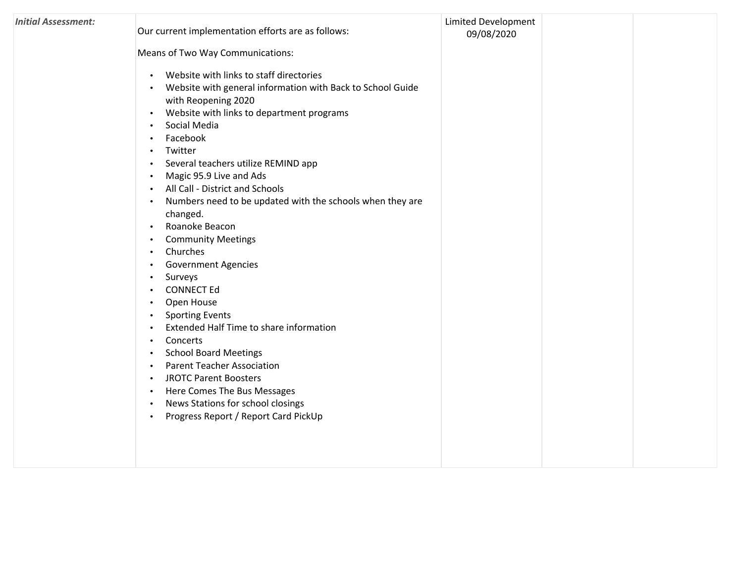| <b>Initial Assessment:</b> | Our current implementation efforts are as follows:<br>Means of Two Way Communications:<br>Website with links to staff directories<br>$\bullet$<br>Website with general information with Back to School Guide<br>$\bullet$<br>with Reopening 2020<br>Website with links to department programs<br>$\bullet$<br>Social Media<br>$\bullet$<br>Facebook<br>Twitter<br>٠<br>Several teachers utilize REMIND app<br>$\bullet$<br>Magic 95.9 Live and Ads<br>$\bullet$<br>All Call - District and Schools<br>$\bullet$<br>Numbers need to be updated with the schools when they are<br>$\bullet$<br>changed.<br>Roanoke Beacon<br>$\bullet$<br><b>Community Meetings</b><br>Churches<br>$\bullet$<br><b>Government Agencies</b><br>Surveys<br>$\bullet$<br><b>CONNECT Ed</b><br>$\bullet$<br>Open House<br>$\bullet$<br><b>Sporting Events</b><br>$\bullet$<br>Extended Half Time to share information<br>$\bullet$<br>Concerts<br>$\bullet$<br><b>School Board Meetings</b><br>$\bullet$<br><b>Parent Teacher Association</b><br>$\bullet$<br><b>JROTC Parent Boosters</b><br>$\bullet$<br>Here Comes The Bus Messages<br>$\bullet$<br>News Stations for school closings<br>$\bullet$<br>Progress Report / Report Card PickUp<br>$\bullet$ | <b>Limited Development</b><br>09/08/2020 |  |
|----------------------------|--------------------------------------------------------------------------------------------------------------------------------------------------------------------------------------------------------------------------------------------------------------------------------------------------------------------------------------------------------------------------------------------------------------------------------------------------------------------------------------------------------------------------------------------------------------------------------------------------------------------------------------------------------------------------------------------------------------------------------------------------------------------------------------------------------------------------------------------------------------------------------------------------------------------------------------------------------------------------------------------------------------------------------------------------------------------------------------------------------------------------------------------------------------------------------------------------------------------------------------|------------------------------------------|--|
|                            |                                                                                                                                                                                                                                                                                                                                                                                                                                                                                                                                                                                                                                                                                                                                                                                                                                                                                                                                                                                                                                                                                                                                                                                                                                      |                                          |  |